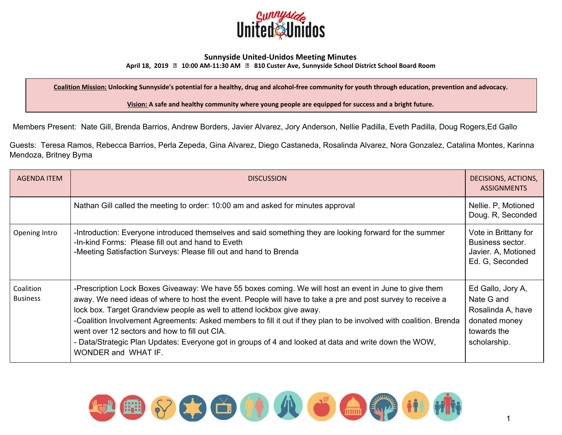

## **Sunnyside United-Unidos Meeting Minutes**

**April 18, 2019 10:00 AM-11:30 AM 810 Custer Ave, Sunnyside School District School Board Room**

Coalition Mission: Unlocking Sunnyside's potential for a healthy, drug and alcohol-free community for youth through education, prevention and advocacy.

**Vision: A safe and healthy community where young people are equipped for success and a bright future.**

Members Present: Nate Gill, Brenda Barrios, Andrew Borders, Javier Alvarez, Jory Anderson, Nellie Padilla, Eveth Padilla, Doug Rogers,Ed Gallo

Guests: Teresa Ramos, Rebecca Barrios, Perla Zepeda, Gina Alvarez, Diego Castaneda, Rosalinda Alvarez, Nora Gonzalez, Catalina Montes, Karinna Mendoza, Britney Byma

| <b>AGENDA ITEM</b>           | <b>DISCUSSION</b>                                                                                                                                                                                                                                                                                                                                                                                                                                                                                                                                                                                      | DECISIONS, ACTIONS,<br><b>ASSIGNMENTS</b>                                                            |
|------------------------------|--------------------------------------------------------------------------------------------------------------------------------------------------------------------------------------------------------------------------------------------------------------------------------------------------------------------------------------------------------------------------------------------------------------------------------------------------------------------------------------------------------------------------------------------------------------------------------------------------------|------------------------------------------------------------------------------------------------------|
|                              | Nathan Gill called the meeting to order: 10:00 am and asked for minutes approval                                                                                                                                                                                                                                                                                                                                                                                                                                                                                                                       | Nellie. P. Motioned<br>Doug. R, Seconded                                                             |
| Opening Intro                | -Introduction: Everyone introduced themselves and said something they are looking forward for the summer<br>-In-kind Forms: Please fill out and hand to Eveth<br>-Meeting Satisfaction Surveys: Please fill out and hand to Brenda                                                                                                                                                                                                                                                                                                                                                                     | Vote in Brittany for<br>Business sector.<br>Javier. A, Motioned<br>Ed. G, Seconded                   |
| Coalition<br><b>Business</b> | -Prescription Lock Boxes Giveaway: We have 55 boxes coming. We will host an event in June to give them<br>away. We need ideas of where to host the event. People will have to take a pre and post survey to receive a<br>lock box. Target Grandview people as well to attend lockbox give away.<br>-Coalition Involvement Agreements: Asked members to fill it out if they plan to be involved with coalition. Brenda<br>went over 12 sectors and how to fill out CIA.<br>- Data/Strategic Plan Updates: Everyone got in groups of 4 and looked at data and write down the WOW,<br>WONDER and WHAT IF. | Ed Gallo, Jory A,<br>Nate G and<br>Rosalinda A, have<br>donated money<br>towards the<br>scholarship. |

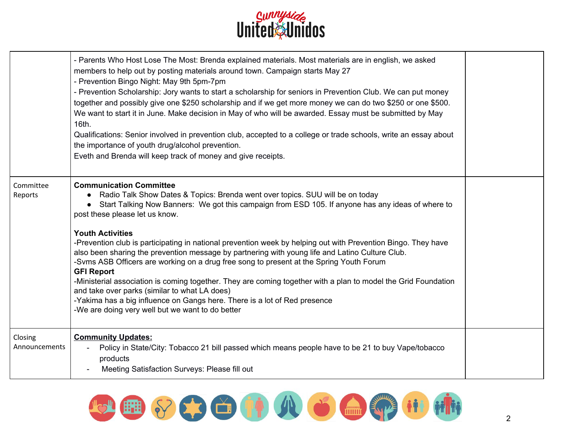

|                          | - Parents Who Host Lose The Most: Brenda explained materials. Most materials are in english, we asked<br>members to help out by posting materials around town. Campaign starts May 27<br>- Prevention Bingo Night: May 9th 5pm-7pm<br>- Prevention Scholarship: Jory wants to start a scholarship for seniors in Prevention Club. We can put money<br>together and possibly give one \$250 scholarship and if we get more money we can do two \$250 or one \$500.<br>We want to start it in June. Make decision in May of who will be awarded. Essay must be submitted by May<br>16th.<br>Qualifications: Senior involved in prevention club, accepted to a college or trade schools, write an essay about<br>the importance of youth drug/alcohol prevention.<br>Eveth and Brenda will keep track of money and give receipts.                                                                                              |  |
|--------------------------|-----------------------------------------------------------------------------------------------------------------------------------------------------------------------------------------------------------------------------------------------------------------------------------------------------------------------------------------------------------------------------------------------------------------------------------------------------------------------------------------------------------------------------------------------------------------------------------------------------------------------------------------------------------------------------------------------------------------------------------------------------------------------------------------------------------------------------------------------------------------------------------------------------------------------------|--|
| Committee<br>Reports     | <b>Communication Committee</b><br>Radio Talk Show Dates & Topics: Brenda went over topics. SUU will be on today<br>• Start Talking Now Banners: We got this campaign from ESD 105. If anyone has any ideas of where to<br>post these please let us know.<br><b>Youth Activities</b><br>-Prevention club is participating in national prevention week by helping out with Prevention Bingo. They have<br>also been sharing the prevention message by partnering with young life and Latino Culture Club.<br>-Svms ASB Officers are working on a drug free song to present at the Spring Youth Forum<br><b>GFI Report</b><br>-Ministerial association is coming together. They are coming together with a plan to model the Grid Foundation<br>and take over parks (similar to what LA does)<br>-Yakima has a big influence on Gangs here. There is a lot of Red presence<br>-We are doing very well but we want to do better |  |
| Closing<br>Announcements | <b>Community Updates:</b><br>Policy in State/City: Tobacco 21 bill passed which means people have to be 21 to buy Vape/tobacco<br>products<br>Meeting Satisfaction Surveys: Please fill out                                                                                                                                                                                                                                                                                                                                                                                                                                                                                                                                                                                                                                                                                                                                 |  |